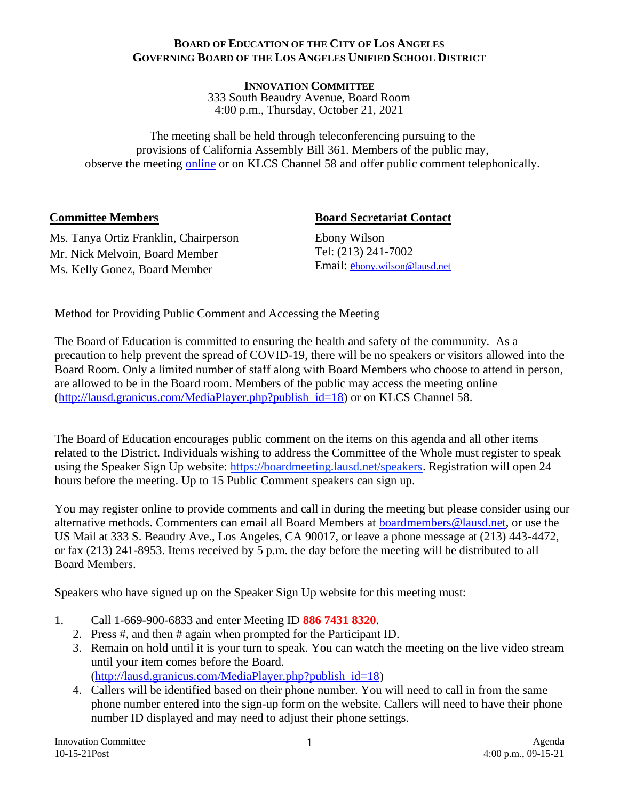#### **BOARD OF EDUCATION OF THE CITY OF LOS ANGELES GOVERNING BOARD OF THE LOS ANGELES UNIFIED SCHOOL DISTRICT**

**INNOVATION COMMITTEE**  333 South Beaudry Avenue, Board Room 4:00 p.m., Thursday, October 21, 2021

The meeting shall be held through teleconferencing pursuing to the provisions of California Assembly Bill 361. Members of the public may, observe the meeting [online](http://lausd.granicus.com/player/camera/4?publish_id=18&redirect=true) or on KLCS Channel 58 and offer public comment telephonically.

### **Committee Members**

### **Board Secretariat Contact**

Ms. Tanya Ortiz Franklin, Chairperson Mr. Nick Melvoin, Board Member Ms. Kelly Gonez, Board Member

Ebony Wilson Tel: (213) 241-7002 Email: [e](mailto:channa.scott@lausd.net)[bony.wilson@lausd.net](mailto:channa.scott@lausd.net)

## Method for Providing Public Comment and Accessing the Meeting

The Board of Education is committed to ensuring the health and safety of the community. As a precaution to help prevent the spread of COVID-19, there will be no speakers or visitors allowed into the Board Room. Only a limited number of staff along with Board Members who choose to attend in person, are allowed to be in the Board room. Members of the public may access the meeting online [\(http://lausd.granicus.com/MediaPlayer.php?publish\\_id=18\)](http://lausd.granicus.com/MediaPlayer.php?publish_id=18) or on KLCS Channel 58.

The Board of Education encourages public comment on the items on this agenda and all other items related to the District. Individuals wishing to address the Committee of the Whole must register to speak using the Speaker Sign Up website: [https://boardmeeting.lausd.net/speakers.](https://boardmeeting.lausd.net/speakers) Registration will open 24 hours before the meeting. Up to 15 Public Comment speakers can sign up.

You may register online to provide comments and call in during the meeting but please consider using our alternative methods. Commenters can email all Board Members at [boardmembers@lausd.net,](about:blank) or use the US Mail at 333 S. Beaudry Ave., Los Angeles, CA 90017, or leave a phone message at (213) 443-4472, or fax (213) 241-8953. Items received by 5 p.m. the day before the meeting will be distributed to all Board Members.

Speakers who have signed up on the Speaker Sign Up website for this meeting must:

- 1. Call 1-669-900-6833 and enter Meeting ID **886 7431 8320**.
	- 2. Press #, and then # again when prompted for the Participant ID.
	- 3. Remain on hold until it is your turn to speak. You can watch the meeting on the live video stream until your item comes before the Board. [\(http://lausd.granicus.com/MediaPlayer.php?publish\\_id=18\)](http://lausd.granicus.com/MediaPlayer.php?publish_id=18)
	- 4. Callers will be identified based on their phone number. You will need to call in from the same phone number entered into the sign-up form on the website. Callers will need to have their phone number ID displayed and may need to adjust their phone settings.